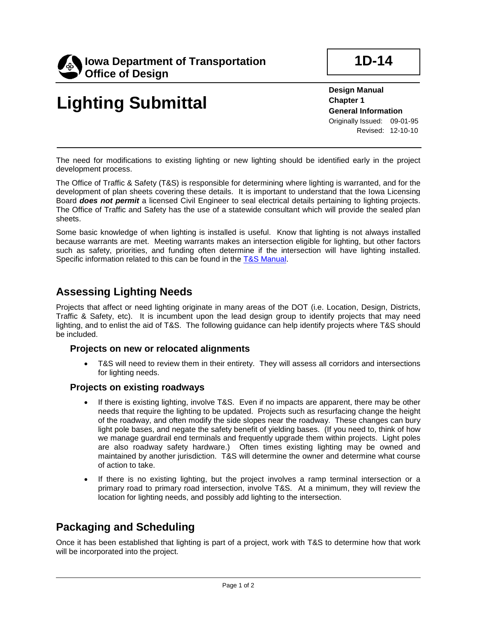

**Design Manual Chapter 1 General Information** Originally Issued: 09-01-95 Revised: 12-10-10

The need for modifications to existing lighting or new lighting should be identified early in the project development process.

The Office of Traffic & Safety (T&S) is responsible for determining where lighting is warranted, and for the development of plan sheets covering these details. It is important to understand that the Iowa Licensing Board *does not permit* a licensed Civil Engineer to seal electrical details pertaining to lighting projects. The Office of Traffic and Safety has the use of a statewide consultant which will provide the sealed plan sheets.

Some basic knowledge of when lighting is installed is useful. Know that lighting is not always installed because warrants are met. Meeting warrants makes an intersection eligible for lighting, but other factors such as safety, priorities, and funding often determine if the intersection will have lighting installed. Specific information related to this can be found in the T&S [Manual.](http://www.iowadot.gov/traffic/manuals/tsmanual.aspx)

### **Assessing Lighting Needs**

Projects that affect or need lighting originate in many areas of the DOT (i.e. Location, Design, Districts, Traffic & Safety, etc). It is incumbent upon the lead design group to identify projects that may need lighting, and to enlist the aid of T&S. The following guidance can help identify projects where T&S should be included.

#### **Projects on new or relocated alignments**

• T&S will need to review them in their entirety. They will assess all corridors and intersections for lighting needs.

#### **Projects on existing roadways**

- If there is existing lighting, involve T&S. Even if no impacts are apparent, there may be other needs that require the lighting to be updated. Projects such as resurfacing change the height of the roadway, and often modify the side slopes near the roadway. These changes can bury light pole bases, and negate the safety benefit of yielding bases. (If you need to, think of how we manage guardrail end terminals and frequently upgrade them within projects. Light poles are also roadway safety hardware.) Often times existing lighting may be owned and maintained by another jurisdiction. T&S will determine the owner and determine what course of action to take.
- If there is no existing lighting, but the project involves a ramp terminal intersection or a primary road to primary road intersection, involve T&S. At a minimum, they will review the location for lighting needs, and possibly add lighting to the intersection.

## **Packaging and Scheduling**

Once it has been established that lighting is part of a project, work with T&S to determine how that work will be incorporated into the project.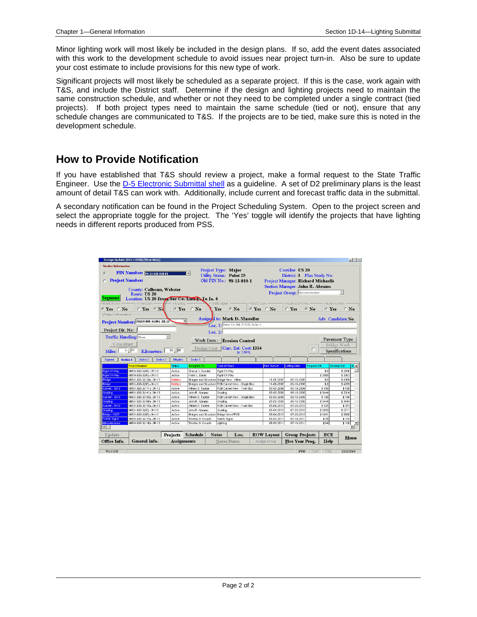Minor lighting work will most likely be included in the design plans. If so, add the event dates associated with this work to the development schedule to avoid issues near project turn-in. Also be sure to update your cost estimate to include provisions for this new type of work.

Significant projects will most likely be scheduled as a separate project. If this is the case, work again with T&S, and include the District staff. Determine if the design and lighting projects need to maintain the same construction schedule, and whether or not they need to be completed under a single contract (tied projects). If both project types need to maintain the same schedule (tied or not), ensure that any schedule changes are communicated to T&S. If the projects are to be tied, make sure this is noted in the development schedule.

### **How to Provide Notification**

If you have established that T&S should review a project, make a formal request to the State Traffic Engineer. Use the D-5 [Electronic Submittal shell](http://www.iowadot.gov/design/ShellLetters/DesignEvents/D5sub.doc) as a guideline. A set of D2 preliminary plans is the least amount of detail T&S can work with. Additionally, include current and forecast traffic data in the submittal.

A secondary notification can be found in the Project Scheduling System. Open to the project screen and select the appropriate toggle for the project. The 'Yes' toggle will identify the projects that have lighting needs in different reports produced from PSS.

|                                                                                                   | Design Update (V4111028) (View-Only)       |                                   |                                          |                    |                                                    |                                    |                                 |                        |                 | $\Box$                   |
|---------------------------------------------------------------------------------------------------|--------------------------------------------|-----------------------------------|------------------------------------------|--------------------|----------------------------------------------------|------------------------------------|---------------------------------|------------------------|-----------------|--------------------------|
| <b>Section Information</b>                                                                        |                                            |                                   |                                          |                    |                                                    |                                    |                                 |                        |                 |                          |
| PIN Number: 28-13-020-010-01<br>$\sigma$                                                          |                                            | <b>Project Type: Major</b>        |                                          |                    |                                                    | Corridor: US 20                    |                                 |                        |                 |                          |
|                                                                                                   |                                            | <b>Utility Status: Point 25</b>   |                                          |                    |                                                    | District: 3 Plan Study No:         |                                 |                        |                 |                          |
| <b>Project Number:</b>                                                                            |                                            | Old PIN No.: 98-13-010-1          |                                          |                    |                                                    | Project Manager: Richard Michaelis |                                 |                        |                 |                          |
|                                                                                                   |                                            |                                   |                                          |                    |                                                    |                                    | Section Manager: John R. Abrams |                        |                 |                          |
|                                                                                                   | County: Calhoun, Webster                   |                                   |                                          |                    |                                                    |                                    |                                 |                        |                 |                          |
| Project Group: Reconstruction<br>Route: US 20<br>Location: US 20 From Sac Co. Line E. To Ia. 4    |                                            |                                   |                                          |                    |                                                    |                                    |                                 |                        |                 |                          |
| <b>Segment</b>                                                                                    |                                            |                                   |                                          |                    |                                                    |                                    |                                 |                        |                 |                          |
| -Metric Project:                                                                                  | -Consultant:-                              | $-$ Lighting:-                    |                                          | Traffic Signals: - |                                                    | -Traffic Signs:-                   |                                 | -Railroad Involved:-   |                 | - Access Control:        |
| $G$ Yes $C$ No                                                                                    | $\cap$ Yes $\cap$ Nd                       | $C$ Yes                           | $C$ No                                   | Yes                | $G$ No                                             | $G$ Yes $G$ No                     |                                 | $C$ Yes                | $C$ No<br>G Yes | $C$ No                   |
| (Project Information)                                                                             |                                            |                                   |                                          |                    |                                                    |                                    |                                 |                        |                 |                          |
| Assigned to: Mark D. Masteller<br>Adv. Candidate:No<br>E<br>Project Number: NHSN-020-3(100)-2R-13 |                                            |                                   |                                          |                    |                                                    |                                    |                                 |                        |                 |                          |
| Loc. 1: From Co. Rd. N-33 E To Ia. 4                                                              |                                            |                                   |                                          |                    |                                                    |                                    |                                 |                        |                 |                          |
| Project Dir. No:                                                                                  |                                            |                                   |                                          |                    |                                                    |                                    |                                 |                        |                 |                          |
| Loc. $2:$<br>Traffic Handling: None                                                               |                                            |                                   |                                          |                    |                                                    |                                    |                                 |                        |                 |                          |
|                                                                                                   |                                            | $\overline{\mathbf{w}}$           |                                          |                    | Work Desc.: Erosion Control                        |                                    |                                 |                        |                 | Pavement Type            |
| Consultant:                                                                                       |                                            |                                   |                                          |                    |                                                    |                                    |                                 |                        |                 | Bridge Work              |
| Miles:                                                                                            | 6, 99                                      | $\overline{11}$ , $\overline{25}$ | Design Cost                              |                    | <b>Curr. Est. Cost: 1334</b>                       |                                    |                                 |                        | г               |                          |
|                                                                                                   | Kilometers:                                |                                   |                                          |                    | $(x \; $1000)$                                     |                                    |                                 |                        |                 | Specifications           |
| Segment                                                                                           | Section 3<br>Section 2<br><b>Section 1</b> | Mitgation                         | Section 5                                |                    |                                                    |                                    |                                 |                        |                 |                          |
|                                                                                                   | <b>Project Number</b>                      | <b>Status</b>                     | Assigned To                              |                    | <b>Type of Work</b>                                |                                    | Plan Turn-In                    | <b>Letting Date</b>    | Program Est     | <b>Develop Est</b><br>A۷ |
| Right Of Way                                                                                      | NHSN-020-3(94)--2R-13                      | Active                            | Sharon J. Dumdei                         |                    | Right Of Way                                       |                                    |                                 |                        | \$0             | \$2836                   |
| <b>Right Of Way</b>                                                                               | NHSN-020-3(95)--2R-13                      | Active                            | Frank L. Davis                           |                    | Right Of Way                                       |                                    |                                 |                        | \$2000          | \$2953                   |
| <b>Bridge</b>                                                                                     | NHSX-020-3(124)--3H-13                     | Deleted                           | Bridges and Structure Bridge New - Other |                    |                                                    |                                    | 11-06-2007                      | 01-16-2008             | \$0             | \$4369                   |
| <b>Bridge</b>                                                                                     | NHSX-020-3(97)--3H-13                      | Deleted                           |                                          |                    | Bridges and Structure RCB Culvert New - Single Box |                                    | 11-06-2007                      | 01-16-2008             | \$0             | \$4299                   |
| Culvert - 0210                                                                                    | NHSX-020-3(111)--3H-13                     | Active                            | William D. Tucker                        |                    | RCB Culvert New - Twin Box                         |                                    | 03-03-2009                      | 05-19-2009             | \$450           | \$450                    |
| Grading                                                                                           | NHSX-020-3(141)--3H-13                     | Active                            | John R. Abrams                           | Grading            |                                                    |                                    | 03-03-2009                      | 05-19-2009             | \$3444          | \$2316                   |
| Culvert - 0310                                                                                    | NHSX-020-3(159)--3H-13                     | Active                            | William D. Tucker                        |                    | RCB Culvert New - Single Box                       |                                    | 03-03-2009                      | 05-19-2009             | \$180           | \$180                    |
| Grading                                                                                           | NHSX-020-3(166)--3H-13                     | Active                            | John R. Abrams                           | Grading            |                                                    |                                    | 03-03-2009                      | 05-19-2009             | \$3444          | \$3444                   |
| Cuivert - 0110                                                                                    | NHSX-020-3(110)--3H-13                     | Active                            | William D. Tucker                        |                    | RCB Culvert New - Twin Box                         |                                    | 05-04-2010                      | 07-20-2010             | \$535           | \$372                    |
| Grading                                                                                           | NHSX-020-3(83)--3H-13                      | Active                            | John R. Abrams                           | Grading            |                                                    |                                    | 05-04-2010                      | 07-20-2010             | \$2910          | \$2717                   |
| Bridge - 0207                                                                                     | NHSX-020-3(98)--3H-13                      | Active                            | Bridges and Structure Bridge New-PPCB    |                    |                                                    |                                    | 05-04-2010                      | 07-20-2010             | \$1491          | \$2680                   |
| <b>Traffic Signs</b>                                                                              | NHSN-020-3(115)--2R-13                     | Active                            | Timothy D. Crouch                        |                    | <b>Traffic Signs</b>                               |                                    | 05-03-2011                      | 07-19-2011             | \$78            | \$105                    |
| Miscellaneous                                                                                     | NHSN-020-3(116)--2R-13                     | Active                            | Timothy D. Crouch                        | Lichting           |                                                    |                                    | 05-03-2011                      | 07-19-2011             | \$64            | \$100                    |
|                                                                                                   |                                            |                                   |                                          |                    |                                                    |                                    |                                 |                        |                 |                          |
| Update                                                                                            |                                            | Projects                          | <b>Schedule</b>                          | <b>Notes</b>       |                                                    |                                    | <b>ROW Layout</b>               | <b>Group Projects</b>  | <b>RCE</b>      |                          |
| Office Info.                                                                                      | General Info.                              | <b>Assignments</b>                |                                          |                    | Loc.<br>Notes/Dates                                |                                    | Assign Group                    | <b>Five Year Prog.</b> | Help            | Menu                     |
|                                                                                                   |                                            |                                   |                                          |                    |                                                    |                                    |                                 |                        |                 |                          |
| V4111028                                                                                          |                                            |                                   |                                          |                    |                                                    |                                    |                                 | NUM                    | CAPS<br>SCRL    | 12/22/2008               |
|                                                                                                   |                                            |                                   |                                          |                    |                                                    |                                    |                                 |                        |                 |                          |